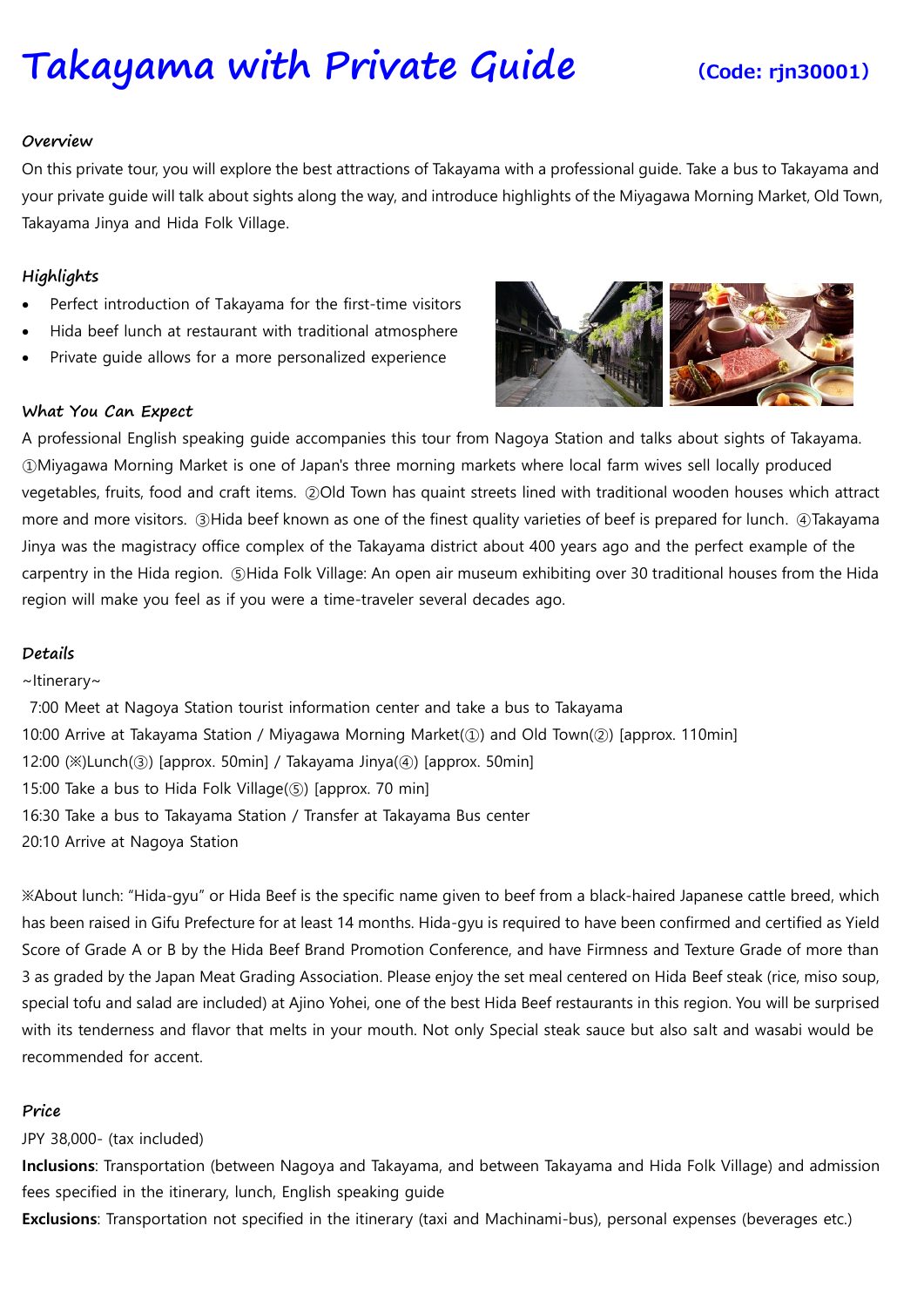# **[Takayama](https://www.viator.com/tours/Nagoya/Japanese-Food-Sample-Making-in-Nagoya/d4701-27453P15) with Private Guide (Code: rjn30001)**

#### **Overview**

On this private tour, you will explore the best attractions of Takayama with a professional guide. Take a bus to Takayama and your private guide will talk about sights along the way, and introduce highlights of the Miyagawa Morning Market, Old Town, Takayama Jinya and Hida Folk Village.

### **Highlights**

- Perfect introduction of Takayama for the first-time visitors
- Hida beef lunch at restaurant with traditional atmosphere
- Private guide allows for a more personalized experience

#### **What You Can Expect**

A professional English speaking guide accompanies this tour from Nagoya Station and talks about sights of Takayama. ①Miyagawa Morning Market is one of Japan's three morning markets where local farm wives sell locally produced vegetables, fruits, food and craft items. ②Old Town has quaint streets lined with traditional wooden houses which attract more and more visitors. ③Hida beef known as one of the finest quality varieties of beef is prepared for lunch. ④Takayama Jinya was the magistracy office complex of the Takayama district about 400 years ago and the perfect example of the carpentry in the Hida region. ⑤Hida Folk Village: An open air museum exhibiting over 30 traditional houses from the Hida region will make you feel as if you were a time-traveler several decades ago.

## **Details**

#### ~Itinerary~

7:00 Meet at Nagoya Station tourist information center and take a bus to Takayama 10:00 Arrive at Takayama Station / Miyagawa Morning Market(①) and Old Town(②) [approx. 110min] 12:00  $(\aleph)$  Lunch $(\heartsuit)$  [approx. 50min] / Takayama Jinya $(\heartsuit)$  [approx. 50min] 15:00 Take a bus to Hida Folk Village(⑤) [approx. 70 min] 16:30 Take a bus to Takayama Station / Transfer at Takayama Bus center 20:10 Arrive at Nagoya Station

※About lunch: "Hida-gyu" or Hida Beef is the specific name given to beef from a black-haired Japanese cattle breed, which has been raised in Gifu Prefecture for at least 14 months. Hida-gyu is required to have been confirmed and certified as Yield Score of Grade A or B by the Hida Beef Brand Promotion Conference, and have Firmness and Texture Grade of more than 3 as graded by the Japan Meat Grading Association. Please enjoy the set meal centered on Hida Beef steak (rice, miso soup, special tofu and salad are included) at Ajino Yohei, one of the best Hida Beef restaurants in this region. You will be surprised with its tenderness and flavor that melts in your mouth. Not only Special steak sauce but also salt and wasabi would be recommended for accent.

#### **Price**

#### JPY 38,000- (tax included)

**Inclusions**: Transportation (between Nagoya and Takayama, and between Takayama and Hida Folk Village) and admission fees specified in the itinerary, lunch, English speaking guide

**Exclusions**: Transportation not specified in the itinerary (taxi and Machinami-bus), personal expenses (beverages etc.)